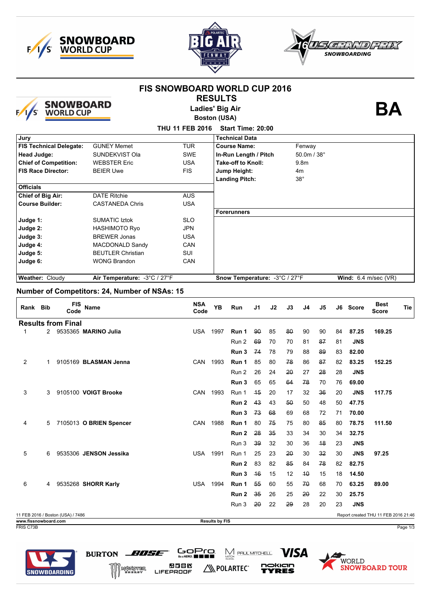





|                                               |   |                                   | <b>SNOWBOARD</b><br>WORLD CUP | <b>FIS SNOWBOARD WORLD CUP 2016</b><br><b>Ladies' Big Air</b> | <b>RESULTS</b><br><b>Boston (USA)</b> |                               |     |    |                  |             |    |    |            | BА                                   |     |
|-----------------------------------------------|---|-----------------------------------|-------------------------------|---------------------------------------------------------------|---------------------------------------|-------------------------------|-----|----|------------------|-------------|----|----|------------|--------------------------------------|-----|
|                                               |   |                                   |                               | THU 11 FEB 2016                                               |                                       | Start Time: 20:00             |     |    |                  |             |    |    |            |                                      |     |
| Jury                                          |   |                                   |                               |                                                               |                                       | <b>Technical Data</b>         |     |    |                  |             |    |    |            |                                      |     |
|                                               |   | <b>FIS Technical Delegate:</b>    | <b>GUNEY Memet</b>            | <b>TUR</b>                                                    |                                       | <b>Course Name:</b>           |     |    |                  | Fenway      |    |    |            |                                      |     |
| <b>Head Judge:</b>                            |   |                                   | SUNDEKVIST Ola                | <b>SWE</b>                                                    |                                       | In-Run Length / Pitch         |     |    |                  | 50.0m / 38° |    |    |            |                                      |     |
|                                               |   | <b>Chief of Competition:</b>      | <b>WEBSTER Eric</b>           | <b>USA</b>                                                    |                                       | Take-off to Knoll:            |     |    | 9.8 <sub>m</sub> |             |    |    |            |                                      |     |
| <b>FIS Race Director:</b>                     |   |                                   | <b>BEIER Uwe</b>              | <b>FIS</b>                                                    |                                       | Jump Height:                  |     |    | 4m               |             |    |    |            |                                      |     |
| <b>Officials</b>                              |   |                                   |                               |                                                               |                                       | <b>Landing Pitch:</b>         |     |    |                  | $38^\circ$  |    |    |            |                                      |     |
| Chief of Big Air:                             |   |                                   | <b>DATE Ritchie</b>           | <b>AUS</b>                                                    |                                       |                               |     |    |                  |             |    |    |            |                                      |     |
| <b>Course Builder:</b>                        |   |                                   | <b>CASTANEDA Chris</b>        | <b>USA</b>                                                    |                                       | <b>Forerunners</b>            |     |    |                  |             |    |    |            |                                      |     |
| Judge 1:                                      |   |                                   | <b>SUMATIC Iztok</b>          | <b>SLO</b>                                                    |                                       |                               |     |    |                  |             |    |    |            |                                      |     |
| Judge 2:                                      |   |                                   | <b>HASHIMOTO Ryo</b>          | <b>JPN</b>                                                    |                                       |                               |     |    |                  |             |    |    |            |                                      |     |
| Judge 3:                                      |   |                                   | <b>BREWER Jonas</b>           | <b>USA</b>                                                    |                                       |                               |     |    |                  |             |    |    |            |                                      |     |
| Judge 4:                                      |   |                                   | MACDONALD Sandy               | CAN                                                           |                                       |                               |     |    |                  |             |    |    |            |                                      |     |
| Judge 5:                                      |   |                                   | <b>BEUTLER Christian</b>      | <b>SUI</b>                                                    |                                       |                               |     |    |                  |             |    |    |            |                                      |     |
| Judge 6:                                      |   |                                   | <b>WONG Brandon</b>           | CAN                                                           |                                       |                               |     |    |                  |             |    |    |            |                                      |     |
| Weather: Cloudy                               |   |                                   | Air Temperature: - 3°C / 27°F |                                                               |                                       | Snow Temperature: -3°C / 27°F |     |    |                  |             |    |    |            | Wind: $6.4$ m/sec (VR)               |     |
| Number of Competitors: 24, Number of NSAs: 15 |   |                                   |                               |                                                               |                                       |                               |     |    |                  |             |    |    |            |                                      |     |
| Rank Bib                                      |   | FIS<br>Code                       | <b>Name</b>                   | <b>NSA</b><br>Code                                            | YB                                    | <b>Run</b>                    | J1  | J2 | J3               | J4          | J5 |    | J6 Score   | <b>Best</b><br>Score                 | Tie |
|                                               |   | <b>Results from Final</b>         |                               |                                                               |                                       |                               |     |    |                  |             |    |    |            |                                      |     |
| 1                                             |   |                                   | 2 9535365 MARINO Julia        | USA                                                           | 1997                                  | Run 1                         | 90  | 85 | 80               | 90          | 90 | 84 | 87.25      | 169.25                               |     |
|                                               |   |                                   |                               |                                                               |                                       | Run 2                         | 69  | 70 | 70               | 81          | 87 | 81 | <b>JNS</b> |                                      |     |
|                                               |   |                                   |                               |                                                               |                                       | Run 3                         | 74  | 78 | 79               | 88          | 89 | 83 | 82.00      |                                      |     |
| 2                                             | 1 |                                   | 9105169 BLASMAN Jenna         | <b>CAN</b>                                                    | 1993                                  | Run 1                         | 85  | 80 | 78               | 86          | 87 | 82 | 83.25      | 152.25                               |     |
|                                               |   |                                   |                               |                                                               |                                       |                               |     |    |                  |             |    |    |            |                                      |     |
|                                               |   |                                   |                               |                                                               |                                       | Run 2                         | 26  | 24 | 20               | 27          | 28 | 28 | <b>JNS</b> |                                      |     |
|                                               |   |                                   |                               |                                                               |                                       | Run 3                         | 65  | 65 | 64               | 78          | 70 | 76 | 69.00      |                                      |     |
| 3                                             | 3 |                                   | 9105100 VOIGT Brooke          | <b>CAN</b>                                                    | 1993                                  | Run 1                         | 45  | 20 | 17               | 32          | 36 | 20 | <b>JNS</b> | 117.75                               |     |
|                                               |   |                                   |                               |                                                               |                                       | <b>Run 2</b> 43               |     | 43 | 50               | 50          | 48 | 50 | 47.75      |                                      |     |
|                                               |   |                                   |                               |                                                               |                                       | Run 3                         | 73  | 68 | 69               | 68          | 72 | 71 | 70.00      |                                      |     |
| 4                                             |   |                                   | 5 7105013 O BRIEN Spencer     | CAN 1988                                                      |                                       | Run 1                         | 80  | 75 | 75               | 80          | 85 | 80 | 78.75      | 111.50                               |     |
|                                               |   |                                   |                               |                                                               |                                       |                               |     |    |                  |             |    |    |            |                                      |     |
|                                               |   |                                   |                               |                                                               |                                       | Run 2                         | -28 | 35 | 33               | 34          | 30 | 34 | 32.75      |                                      |     |
|                                               |   |                                   |                               |                                                               |                                       | Run 3                         | -39 | 32 | 30               | 36          | 48 | 23 | <b>JNS</b> |                                      |     |
| 5                                             |   |                                   | 6 9535306 JENSON Jessika      | USA 1991                                                      |                                       | Run 1                         | 25  | 23 | 20               | 30          | 32 | 30 | <b>JNS</b> | 97.25                                |     |
|                                               |   |                                   |                               |                                                               |                                       | Run 2                         | 83  | 82 | 85               | 84          | 78 | 82 | 82.75      |                                      |     |
|                                               |   |                                   |                               |                                                               |                                       | Run 3                         | 46  | 15 | 12               | 40          | 15 | 18 | 14.50      |                                      |     |
|                                               |   |                                   |                               |                                                               |                                       |                               |     | 60 |                  |             |    |    |            |                                      |     |
| 6                                             |   |                                   | 4 9535268 SHORR Karly         | <b>USA 1994</b>                                               |                                       | Run 1                         | 55  |    | 55               | 70          | 68 | 70 | 63.25      | 89.00                                |     |
|                                               |   |                                   |                               |                                                               |                                       | Run 2                         | -35 | 26 | 25               | 20          | 22 | 30 | 25.75      |                                      |     |
|                                               |   |                                   |                               |                                                               |                                       | Run 3                         | -20 | 22 | 29               | 28          | 20 | 23 | <b>JNS</b> |                                      |     |
| www.fissnowboard.com                          |   | 11 FEB 2016 / Boston (USA) / 7486 |                               |                                                               | Results by FIS                        |                               |     |    |                  |             |    |    |            | Report created THU 11 FEB 2016 21:46 |     |

 $GDPG$ 

**20038**<br>FIFEPROOF

BURTON BUSE

WWW.

FRIS C73B Page 1/3





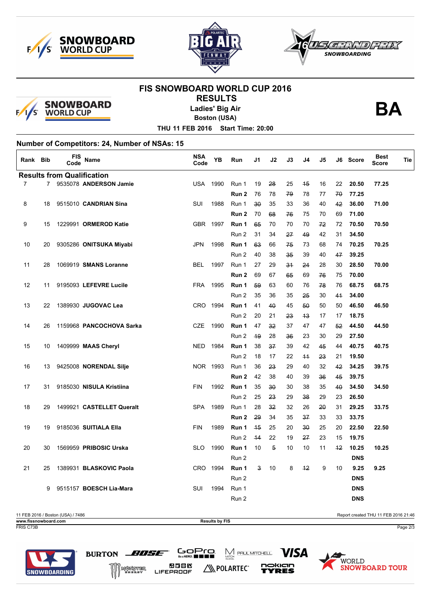





## **FIS SNOWBOARD WORLD CUP 2016 RESULTS**



**Ladies' Big Air**

**Boston (USA)**

**BA**

**THU 11 FEB 2016 Start Time: 20:00**

## **Number of Competitors: 24, Number of NSAs: 15**

| Rank Bib       |    | FIS<br>Code                       | <b>Name</b>               | <b>NSA</b><br>Code | YB   | Run              | J1           | J2 | J3 | J4   | J5 | J6 | <b>Score</b> | <b>Best</b><br>Score | Tie |
|----------------|----|-----------------------------------|---------------------------|--------------------|------|------------------|--------------|----|----|------|----|----|--------------|----------------------|-----|
|                |    | <b>Results from Qualification</b> |                           |                    |      |                  |              |    |    |      |    |    |              |                      |     |
| $\overline{7}$ |    |                                   | 7 9535078 ANDERSON Jamie  | <b>USA</b>         | 1990 | Run 1            | 19           | 28 | 25 | 45   | 16 | 22 | 20.50        | 77.25                |     |
|                |    |                                   |                           |                    |      | Run <sub>2</sub> | 76           | 78 | 79 | 78   | 77 | 70 | 77.25        |                      |     |
| 8              | 18 |                                   | 9515010 CANDRIAN Sina     | <b>SUI</b>         | 1988 | Run 1            | $30^{\circ}$ | 35 | 33 | 36   | 40 | 42 | 36.00        | 71.00                |     |
|                |    |                                   |                           |                    |      | Run <sub>2</sub> | 70           | 68 | 76 | 75   | 70 | 69 | 71.00        |                      |     |
| 9              | 15 |                                   | 1229991 ORMEROD Katie     | <b>GBR</b>         | 1997 | Run 1            | 65           | 70 | 70 | 70   | 72 | 72 | 70.50        | 70.50                |     |
|                |    |                                   |                           |                    |      | Run 2            | 31           | 34 | 27 | 49   | 42 | 31 | 34.50        |                      |     |
| 10             | 20 |                                   | 9305286 ONITSUKA Miyabi   | <b>JPN</b>         | 1998 | Run 1            | 63           | 66 | 75 | 73   | 68 | 74 | 70.25        | 70.25                |     |
|                |    |                                   |                           |                    |      | Run 2            | 40           | 38 | 35 | 39   | 40 | 47 | 39.25        |                      |     |
| 11             | 28 |                                   | 1069919 SMANS Loranne     | <b>BEL</b>         | 1997 | Run 1            | 27           | 29 | 34 | 24   | 28 | 30 | 28.50        | 70.00                |     |
|                |    |                                   |                           |                    |      | Run 2            | 69           | 67 | 65 | 69   | 76 | 75 | 70.00        |                      |     |
| 12             | 11 |                                   | 9195093 LEFEVRE Lucile    | <b>FRA</b>         | 1995 | Run 1            | 59           | 63 | 60 | 76   | 78 | 76 | 68.75        | 68.75                |     |
|                |    |                                   |                           |                    |      | Run 2            | 35           | 36 | 35 | 25   | 30 | 41 | 34.00        |                      |     |
| 13             | 22 |                                   | 1389930 JUGOVAC Lea       | <b>CRO</b>         | 1994 | Run 1            | 41           | 40 | 45 | 50   | 50 | 50 | 46.50        | 46.50                |     |
|                |    |                                   |                           |                    |      | Run 2            | 20           | 21 | 23 | 43   | 17 | 17 | 18.75        |                      |     |
| 14             | 26 |                                   | 1159968 PANCOCHOVA Sarka  | <b>CZE</b>         | 1990 | Run 1            | 47           | 32 | 37 | 47   | 47 | 52 | 44.50        | 44.50                |     |
|                |    |                                   |                           |                    |      | Run 2            | 49           | 28 | 36 | 23   | 30 | 29 | 27.50        |                      |     |
| 15             | 10 |                                   | 1409999 MAAS Cheryl       | <b>NED</b>         | 1984 | Run 1            | 38           | 37 | 39 | 42   | 45 | 44 | 40.75        | 40.75                |     |
|                |    |                                   |                           |                    |      | Run 2            | 18           | 17 | 22 | $+4$ | 23 | 21 | 19.50        |                      |     |
| 16             | 13 |                                   | 9425008 NORENDAL Silje    | NOR 1993           |      | Run 1            | 36           | 23 | 29 | 40   | 32 | 42 | 34.25        | 39.75                |     |
|                |    |                                   |                           |                    |      | Run 2            | 42           | 38 | 40 | 39   | 36 | 45 | 39.75        |                      |     |
| 17             | 31 |                                   | 9185030 NISULA Kristiina  | <b>FIN</b>         | 1992 | Run 1            | 35           | 30 | 30 | 38   | 35 | 40 | 34.50        | 34.50                |     |
|                |    |                                   |                           |                    |      | Run 2            | 25           | 23 | 29 | 38   | 29 | 23 | 26.50        |                      |     |
| 18             | 29 |                                   | 1499921 CASTELLET Queralt | <b>SPA</b>         | 1989 | Run 1            | 28           | 32 | 32 | 26   | 20 | 31 | 29.25        | 33.75                |     |
|                |    |                                   |                           |                    |      | Run 2            | 29           | 34 | 35 | 37   | 33 | 33 | 33.75        |                      |     |
| 19             | 19 |                                   | 9185036 SUITIALA Ella     | <b>FIN</b>         | 1989 | Run 1            | 45           | 25 | 20 | 30   | 25 | 20 | 22.50        | 22.50                |     |
|                |    |                                   |                           |                    |      | Run 2            | 44           | 22 | 19 | 27   | 23 | 15 | 19.75        |                      |     |
| 20             | 30 |                                   | 1569959 PRIBOSIC Urska    | <b>SLO</b>         | 1990 | Run 1            | 10           | 5  | 10 | 10   | 11 | 42 | 10.25        | 10.25                |     |
|                |    |                                   |                           |                    |      | Run 2            |              |    |    |      |    |    | <b>DNS</b>   |                      |     |
| 21             | 25 |                                   | 1389931 BLASKOVIC Paola   | <b>CRO</b>         | 1994 | Run 1            | 3            | 10 | 8  | 42   | 9  | 10 | 9.25         | 9.25                 |     |
|                |    |                                   |                           |                    |      | Run 2            |              |    |    |      |    |    | <b>DNS</b>   |                      |     |
|                | 9  |                                   | 9515157 BOESCH Lia-Mara   | SUI                | 1994 | Run 1            |              |    |    |      |    |    | <b>DNS</b>   |                      |     |
|                |    |                                   |                           |                    |      | Run 2            |              |    |    |      |    |    | <b>DNS</b>   |                      |     |
|                |    |                                   |                           |                    |      |                  |              |    |    |      |    |    |              |                      |     |

11 FEB 2016 / Boston (USA) / 7486 Report created THU 11 FEB 2016 21:46 **www.fissnowboard.com Results by FIS** FRIS C73B Page 2/3

N POLARTEC®

 $\sum_{\text{MITCH}}$  PAUL MITCHELL

*VISA* 

nokian

YRES

GoPro.

**2388** 

LIFEPROOF

BURTON BUSE

MUNSTER